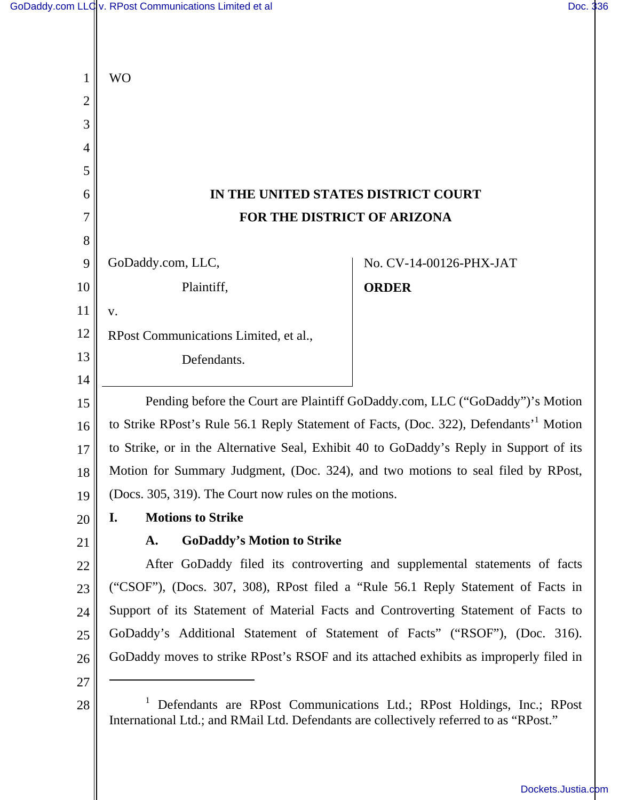Ш

| 1              | <b>WO</b>                                                                                                                                                       |
|----------------|-----------------------------------------------------------------------------------------------------------------------------------------------------------------|
| $\overline{c}$ |                                                                                                                                                                 |
| 3              |                                                                                                                                                                 |
| $\overline{4}$ |                                                                                                                                                                 |
| 5              |                                                                                                                                                                 |
| 6              | IN THE UNITED STATES DISTRICT COURT                                                                                                                             |
| 7              | FOR THE DISTRICT OF ARIZONA                                                                                                                                     |
| 8              |                                                                                                                                                                 |
| 9              | GoDaddy.com, LLC,<br>No. CV-14-00126-PHX-JAT                                                                                                                    |
| 10             | Plaintiff,<br><b>ORDER</b>                                                                                                                                      |
| 11             | V.                                                                                                                                                              |
| 12             | RPost Communications Limited, et al.,                                                                                                                           |
| 13             | Defendants.                                                                                                                                                     |
| 14             |                                                                                                                                                                 |
| 15             | Pending before the Court are Plaintiff GoDaddy.com, LLC ("GoDaddy")'s Motion                                                                                    |
| 16             | to Strike RPost's Rule 56.1 Reply Statement of Facts, (Doc. 322), Defendants' <sup>1</sup> Motion                                                               |
| 17             | to Strike, or in the Alternative Seal, Exhibit 40 to GoDaddy's Reply in Support of its                                                                          |
| 18             | Motion for Summary Judgment, (Doc. 324), and two motions to seal filed by RPost,                                                                                |
| 19             | (Docs. 305, 319). The Court now rules on the motions.                                                                                                           |
| 20             | I.<br><b>Motions to Strike</b>                                                                                                                                  |
| 21             | <b>GoDaddy's Motion to Strike</b><br>A.                                                                                                                         |
| 22             | After GoDaddy filed its controverting and supplemental statements of facts                                                                                      |
| 23             | ("CSOF"), (Docs. 307, 308), RPost filed a "Rule 56.1 Reply Statement of Facts in                                                                                |
| 24             | Support of its Statement of Material Facts and Controverting Statement of Facts to                                                                              |
| 25             | GoDaddy's Additional Statement of Statement of Facts" ("RSOF"), (Doc. 316).                                                                                     |
| 26             | GoDaddy moves to strike RPost's RSOF and its attached exhibits as improperly filed in                                                                           |
| 27             |                                                                                                                                                                 |
| 28             | Defendants are RPost Communications Ltd.; RPost Holdings, Inc.; RPost<br>International Ltd.; and RMail Ltd. Defendants are collectively referred to as "RPost." |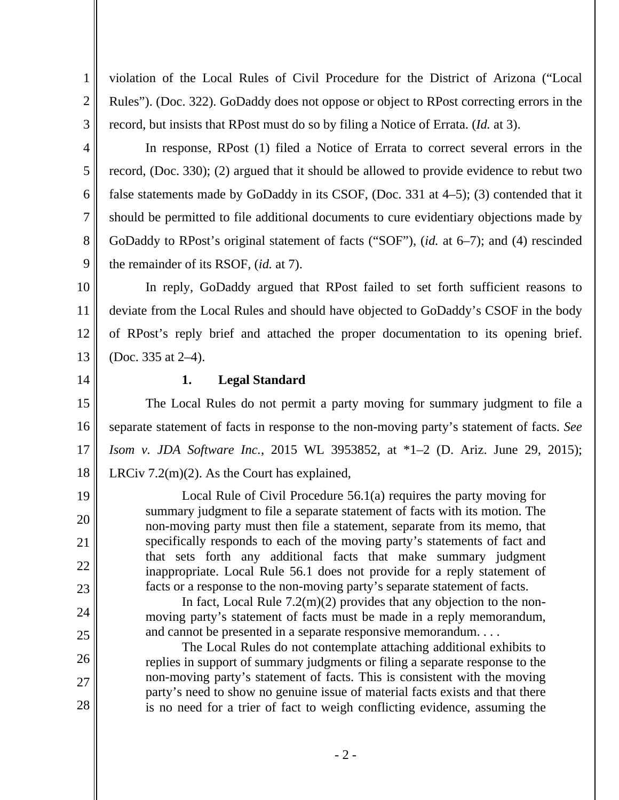violation of the Local Rules of Civil Procedure for the District of Arizona ("Local Rules"). (Doc. 322). GoDaddy does not oppose or object to RPost correcting errors in the record, but insists that RPost must do so by filing a Notice of Errata. (*Id.* at 3).

4 5 6 7 8 9 In response, RPost (1) filed a Notice of Errata to correct several errors in the record, (Doc. 330); (2) argued that it should be allowed to provide evidence to rebut two false statements made by GoDaddy in its CSOF, (Doc. 331 at 4–5); (3) contended that it should be permitted to file additional documents to cure evidentiary objections made by GoDaddy to RPost's original statement of facts ("SOF"), (*id.* at 6–7); and (4) rescinded the remainder of its RSOF, (*id.* at 7).

10 11 12 13 In reply, GoDaddy argued that RPost failed to set forth sufficient reasons to deviate from the Local Rules and should have objected to GoDaddy's CSOF in the body of RPost's reply brief and attached the proper documentation to its opening brief. (Doc. 335 at 2–4).

14

19

20

21

22

23

24

25

26

27

28

1

2

3

## **1. Legal Standard**

15 16 17 18 The Local Rules do not permit a party moving for summary judgment to file a separate statement of facts in response to the non-moving party's statement of facts. *See Isom v. JDA Software Inc.*, 2015 WL 3953852, at \*1–2 (D. Ariz. June 29, 2015); LRCiv 7.2(m)(2). As the Court has explained,

> Local Rule of Civil Procedure 56.1(a) requires the party moving for summary judgment to file a separate statement of facts with its motion. The non-moving party must then file a statement, separate from its memo, that specifically responds to each of the moving party's statements of fact and that sets forth any additional facts that make summary judgment inappropriate. Local Rule 56.1 does not provide for a reply statement of facts or a response to the non-moving party's separate statement of facts.

> In fact, Local Rule  $7.2(m)(2)$  provides that any objection to the nonmoving party's statement of facts must be made in a reply memorandum, and cannot be presented in a separate responsive memorandum. . . .

 The Local Rules do not contemplate attaching additional exhibits to replies in support of summary judgments or filing a separate response to the non-moving party's statement of facts. This is consistent with the moving party's need to show no genuine issue of material facts exists and that there is no need for a trier of fact to weigh conflicting evidence, assuming the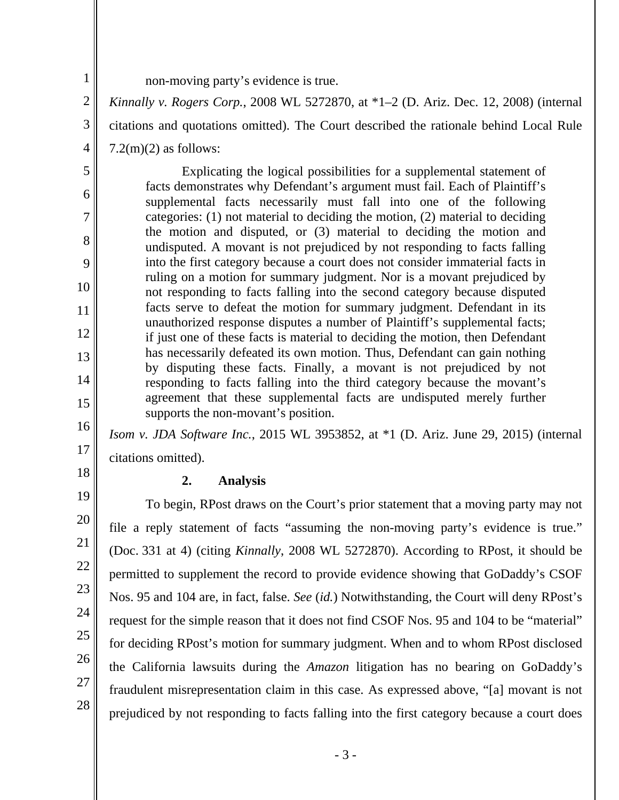1 2

3

4

5

6

7

8

9

10

11

12

13

14

15

16

17

18

19

20

21

22

23

24

25

26

27

28

non-moving party's evidence is true.

*Kinnally v. Rogers Corp.*, 2008 WL 5272870, at \*1–2 (D. Ariz. Dec. 12, 2008) (internal citations and quotations omitted). The Court described the rationale behind Local Rule

 $7.2(m)(2)$  as follows:

 Explicating the logical possibilities for a supplemental statement of facts demonstrates why Defendant's argument must fail. Each of Plaintiff's supplemental facts necessarily must fall into one of the following categories: (1) not material to deciding the motion, (2) material to deciding the motion and disputed, or (3) material to deciding the motion and undisputed. A movant is not prejudiced by not responding to facts falling into the first category because a court does not consider immaterial facts in ruling on a motion for summary judgment. Nor is a movant prejudiced by not responding to facts falling into the second category because disputed facts serve to defeat the motion for summary judgment. Defendant in its unauthorized response disputes a number of Plaintiff's supplemental facts; if just one of these facts is material to deciding the motion, then Defendant has necessarily defeated its own motion. Thus, Defendant can gain nothing by disputing these facts. Finally, a movant is not prejudiced by not responding to facts falling into the third category because the movant's agreement that these supplemental facts are undisputed merely further supports the non-movant's position.

*Isom v. JDA Software Inc.*, 2015 WL 3953852, at \*1 (D. Ariz. June 29, 2015) (internal citations omitted).

# **2. Analysis**

 To begin, RPost draws on the Court's prior statement that a moving party may not file a reply statement of facts "assuming the non-moving party's evidence is true." (Doc. 331 at 4) (citing *Kinnally*, 2008 WL 5272870). According to RPost, it should be permitted to supplement the record to provide evidence showing that GoDaddy's CSOF Nos. 95 and 104 are, in fact, false. *See* (*id.*) Notwithstanding, the Court will deny RPost's request for the simple reason that it does not find CSOF Nos. 95 and 104 to be "material" for deciding RPost's motion for summary judgment. When and to whom RPost disclosed the California lawsuits during the *Amazon* litigation has no bearing on GoDaddy's fraudulent misrepresentation claim in this case. As expressed above, "[a] movant is not prejudiced by not responding to facts falling into the first category because a court does

- 3 -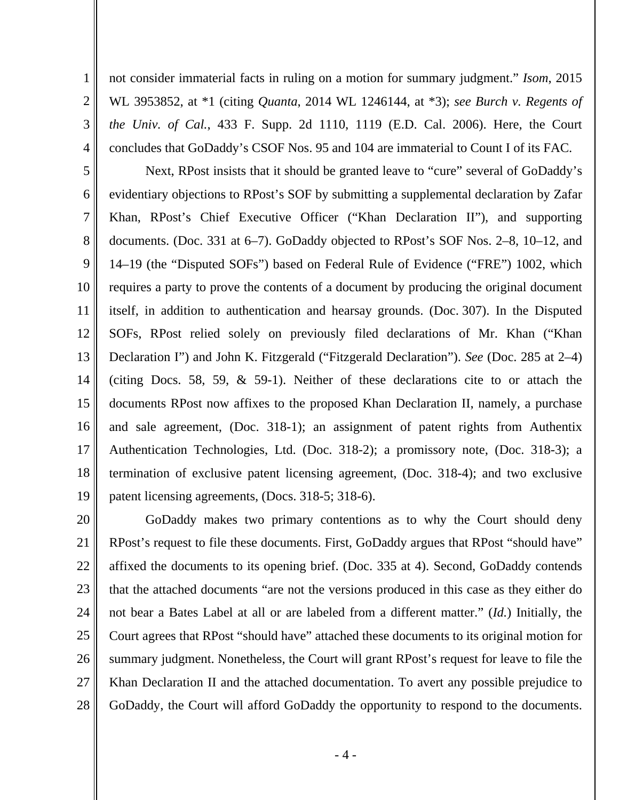not consider immaterial facts in ruling on a motion for summary judgment." *Isom*, 2015 WL 3953852, at \*1 (citing *Quanta*, 2014 WL 1246144, at \*3); *see Burch v. Regents of the Univ. of Cal.*, 433 F. Supp. 2d 1110, 1119 (E.D. Cal. 2006). Here, the Court concludes that GoDaddy's CSOF Nos. 95 and 104 are immaterial to Count I of its FAC.

1

2

3

4

5 6 7 8 9 10 11 12 13 14 15 16 17 18 19 Next, RPost insists that it should be granted leave to "cure" several of GoDaddy's evidentiary objections to RPost's SOF by submitting a supplemental declaration by Zafar Khan, RPost's Chief Executive Officer ("Khan Declaration II"), and supporting documents. (Doc. 331 at 6–7). GoDaddy objected to RPost's SOF Nos. 2–8, 10–12, and 14–19 (the "Disputed SOFs") based on Federal Rule of Evidence ("FRE") 1002, which requires a party to prove the contents of a document by producing the original document itself, in addition to authentication and hearsay grounds. (Doc. 307). In the Disputed SOFs, RPost relied solely on previously filed declarations of Mr. Khan ("Khan Declaration I") and John K. Fitzgerald ("Fitzgerald Declaration"). *See* (Doc. 285 at 2–4) (citing Docs. 58, 59, & 59-1). Neither of these declarations cite to or attach the documents RPost now affixes to the proposed Khan Declaration II, namely, a purchase and sale agreement, (Doc. 318-1); an assignment of patent rights from Authentix Authentication Technologies, Ltd. (Doc. 318-2); a promissory note, (Doc. 318-3); a termination of exclusive patent licensing agreement, (Doc. 318-4); and two exclusive patent licensing agreements, (Docs. 318-5; 318-6).

20 21 22 23 24 25 26 27 28 GoDaddy makes two primary contentions as to why the Court should deny RPost's request to file these documents. First, GoDaddy argues that RPost "should have" affixed the documents to its opening brief. (Doc. 335 at 4). Second, GoDaddy contends that the attached documents "are not the versions produced in this case as they either do not bear a Bates Label at all or are labeled from a different matter." (*Id.*) Initially, the Court agrees that RPost "should have" attached these documents to its original motion for summary judgment. Nonetheless, the Court will grant RPost's request for leave to file the Khan Declaration II and the attached documentation. To avert any possible prejudice to GoDaddy, the Court will afford GoDaddy the opportunity to respond to the documents.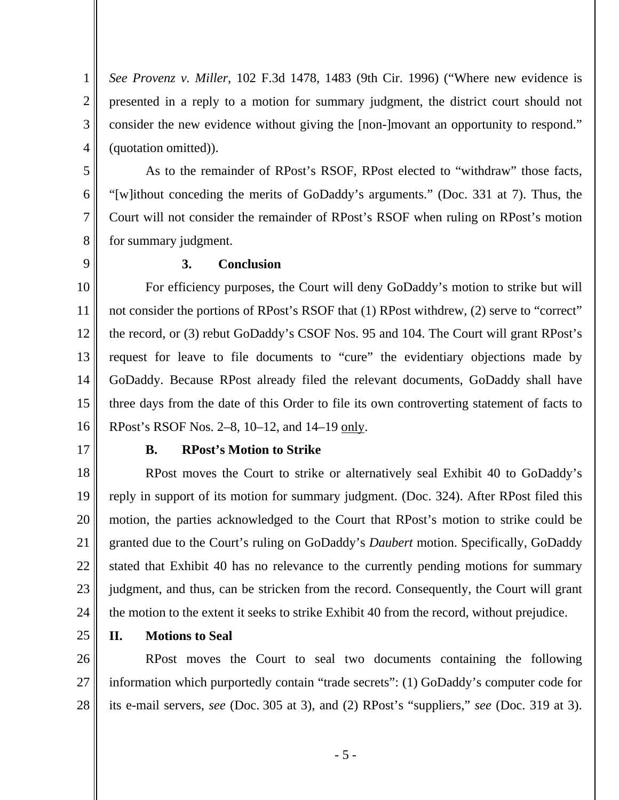*See Provenz v. Miller*, 102 F.3d 1478, 1483 (9th Cir. 1996) ("Where new evidence is presented in a reply to a motion for summary judgment, the district court should not consider the new evidence without giving the [non-]movant an opportunity to respond." (quotation omitted)).

6 7 As to the remainder of RPost's RSOF, RPost elected to "withdraw" those facts, "[w]ithout conceding the merits of GoDaddy's arguments." (Doc. 331 at 7). Thus, the Court will not consider the remainder of RPost's RSOF when ruling on RPost's motion for summary judgment.

8 9

1

2

3

4

5

### **3. Conclusion**

10 11 12 13 14 15 16 For efficiency purposes, the Court will deny GoDaddy's motion to strike but will not consider the portions of RPost's RSOF that (1) RPost withdrew, (2) serve to "correct" the record, or (3) rebut GoDaddy's CSOF Nos. 95 and 104. The Court will grant RPost's request for leave to file documents to "cure" the evidentiary objections made by GoDaddy. Because RPost already filed the relevant documents, GoDaddy shall have three days from the date of this Order to file its own controverting statement of facts to RPost's RSOF Nos. 2–8, 10–12, and 14–19 only.

17

#### **B. RPost's Motion to Strike**

18 19 20 21 22 23 24 RPost moves the Court to strike or alternatively seal Exhibit 40 to GoDaddy's reply in support of its motion for summary judgment. (Doc. 324). After RPost filed this motion, the parties acknowledged to the Court that RPost's motion to strike could be granted due to the Court's ruling on GoDaddy's *Daubert* motion. Specifically, GoDaddy stated that Exhibit 40 has no relevance to the currently pending motions for summary judgment, and thus, can be stricken from the record. Consequently, the Court will grant the motion to the extent it seeks to strike Exhibit 40 from the record, without prejudice.

25

#### **II. Motions to Seal**

26 27 28 RPost moves the Court to seal two documents containing the following information which purportedly contain "trade secrets": (1) GoDaddy's computer code for its e-mail servers, *see* (Doc. 305 at 3), and (2) RPost's "suppliers," *see* (Doc. 319 at 3).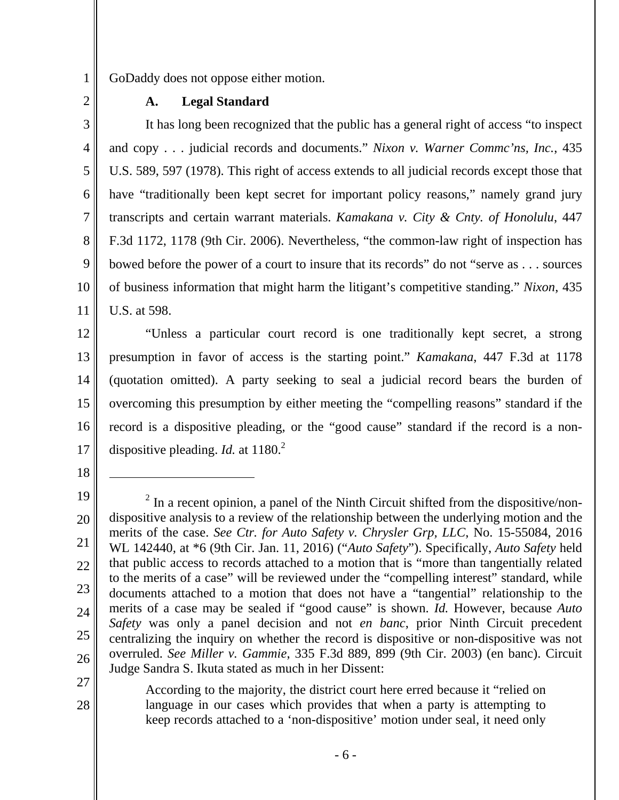1 2 GoDaddy does not oppose either motion.

**A. Legal Standard** 

3 4 5 6 7 8 9 10 11 It has long been recognized that the public has a general right of access "to inspect and copy . . . judicial records and documents." *Nixon v. Warner Commc'ns, Inc.*, 435 U.S. 589, 597 (1978). This right of access extends to all judicial records except those that have "traditionally been kept secret for important policy reasons," namely grand jury transcripts and certain warrant materials. *Kamakana v. City & Cnty. of Honolulu*, 447 F.3d 1172, 1178 (9th Cir. 2006). Nevertheless, "the common-law right of inspection has bowed before the power of a court to insure that its records" do not "serve as . . . sources of business information that might harm the litigant's competitive standing." *Nixon*, 435 U.S. at 598.

12 13 14 15 16 17 "Unless a particular court record is one traditionally kept secret, a strong presumption in favor of access is the starting point." *Kamakana*, 447 F.3d at 1178 (quotation omitted). A party seeking to seal a judicial record bears the burden of overcoming this presumption by either meeting the "compelling reasons" standard if the record is a dispositive pleading, or the "good cause" standard if the record is a nondispositive pleading. *Id.* at 1180.<sup>2</sup>

18

-

27

28

According to the majority, the district court here erred because it "relied on language in our cases which provides that when a party is attempting to keep records attached to a 'non-dispositive' motion under seal, it need only

<sup>19</sup>  20 21 22 23 24 25 26  $2$  In a recent opinion, a panel of the Ninth Circuit shifted from the dispositive/nondispositive analysis to a review of the relationship between the underlying motion and the merits of the case. *See Ctr. for Auto Safety v. Chrysler Grp, LLC*, No. 15-55084, 2016 WL 142440, at \*6 (9th Cir. Jan. 11, 2016) ("*Auto Safety*"). Specifically, *Auto Safety* held that public access to records attached to a motion that is "more than tangentially related to the merits of a case" will be reviewed under the "compelling interest" standard, while documents attached to a motion that does not have a "tangential" relationship to the merits of a case may be sealed if "good cause" is shown. *Id.* However, because *Auto Safety* was only a panel decision and not *en banc*, prior Ninth Circuit precedent centralizing the inquiry on whether the record is dispositive or non-dispositive was not overruled. *See Miller v. Gammie*, 335 F.3d 889, 899 (9th Cir. 2003) (en banc). Circuit Judge Sandra S. Ikuta stated as much in her Dissent: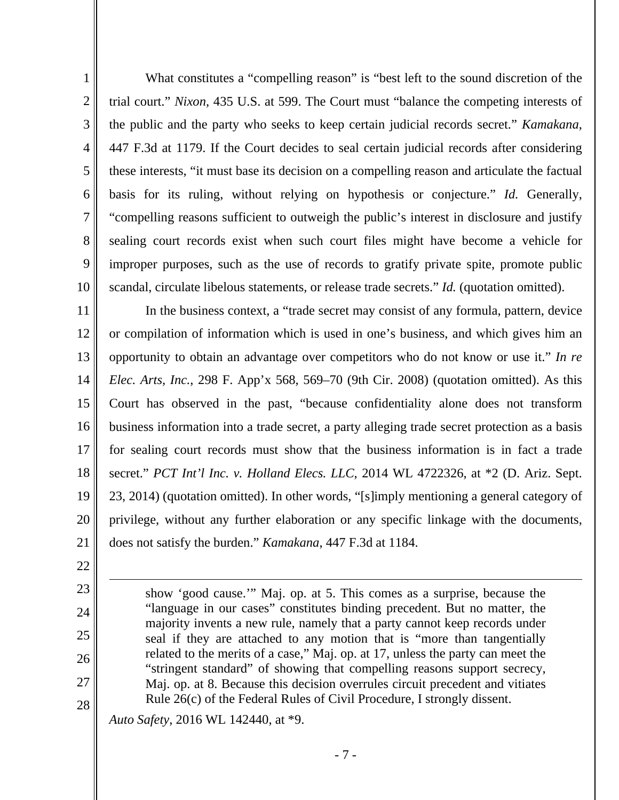6 7 What constitutes a "compelling reason" is "best left to the sound discretion of the trial court." *Nixon*, 435 U.S. at 599. The Court must "balance the competing interests of the public and the party who seeks to keep certain judicial records secret." *Kamakana*, 447 F.3d at 1179. If the Court decides to seal certain judicial records after considering these interests, "it must base its decision on a compelling reason and articulate the factual basis for its ruling, without relying on hypothesis or conjecture." *Id.* Generally, "compelling reasons sufficient to outweigh the public's interest in disclosure and justify sealing court records exist when such court files might have become a vehicle for improper purposes, such as the use of records to gratify private spite, promote public scandal, circulate libelous statements, or release trade secrets." *Id.* (quotation omitted).

11 12 13 14 15 16 17 18 19 20 21 In the business context, a "trade secret may consist of any formula, pattern, device or compilation of information which is used in one's business, and which gives him an opportunity to obtain an advantage over competitors who do not know or use it." *In re Elec. Arts, Inc.*, 298 F. App'x 568, 569–70 (9th Cir. 2008) (quotation omitted). As this Court has observed in the past, "because confidentiality alone does not transform business information into a trade secret, a party alleging trade secret protection as a basis for sealing court records must show that the business information is in fact a trade secret." *PCT Int'l Inc. v. Holland Elecs. LLC*, 2014 WL 4722326, at \*2 (D. Ariz. Sept. 23, 2014) (quotation omitted). In other words, "[s]imply mentioning a general category of privilege, without any further elaboration or any specific linkage with the documents, does not satisfy the burden." *Kamakana*, 447 F.3d at 1184.

22

 $\overline{a}$ 

1

2

3

4

5

8

9

10

- 23 24
- 25
- 26 27

28

show 'good cause.'" Maj. op. at 5. This comes as a surprise, because the "language in our cases" constitutes binding precedent. But no matter, the majority invents a new rule, namely that a party cannot keep records under seal if they are attached to any motion that is "more than tangentially related to the merits of a case," Maj. op. at 17, unless the party can meet the "stringent standard" of showing that compelling reasons support secrecy, Maj. op. at 8. Because this decision overrules circuit precedent and vitiates Rule 26(c) of the Federal Rules of Civil Procedure, I strongly dissent.

*Auto Safety*, 2016 WL 142440, at \*9.

- 7 -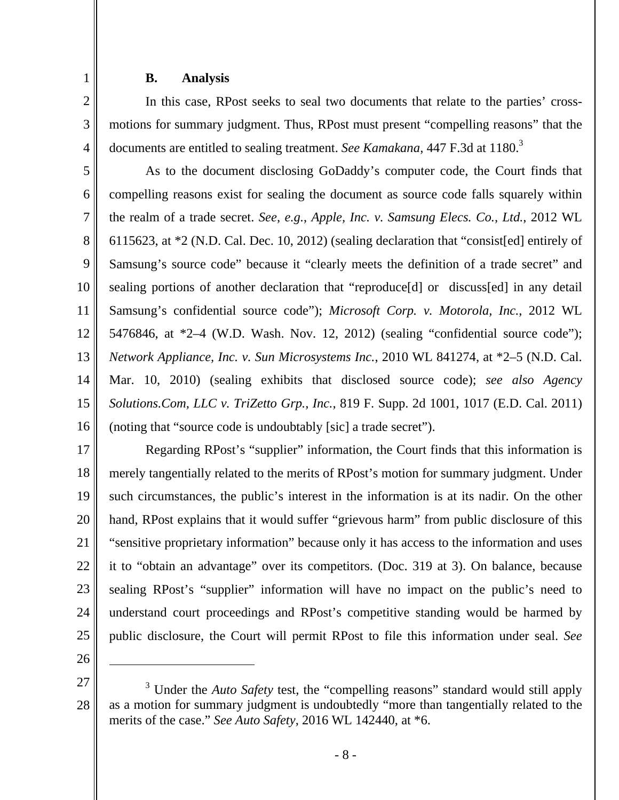#### **B. Analysis**

1

2

3

4

In this case, RPost seeks to seal two documents that relate to the parties' crossmotions for summary judgment. Thus, RPost must present "compelling reasons" that the documents are entitled to sealing treatment. *See Kamakana*, 447 F.3d at 1180.<sup>3</sup>

5 6 7 8 9 10 11 12 13 14 15 16 As to the document disclosing GoDaddy's computer code, the Court finds that compelling reasons exist for sealing the document as source code falls squarely within the realm of a trade secret. *See, e.g.*, *Apple, Inc. v. Samsung Elecs. Co., Ltd.*, 2012 WL 6115623, at \*2 (N.D. Cal. Dec. 10, 2012) (sealing declaration that "consist[ed] entirely of Samsung's source code" because it "clearly meets the definition of a trade secret" and sealing portions of another declaration that "reproduce[d] ordiscuss[ed] in any detail Samsung's confidential source code"); *Microsoft Corp. v. Motorola, Inc.*, 2012 WL 5476846, at \*2–4 (W.D. Wash. Nov. 12, 2012) (sealing "confidential source code"); *Network Appliance, Inc. v. Sun Microsystems Inc.*, 2010 WL 841274, at \*2–5 (N.D. Cal. Mar. 10, 2010) (sealing exhibits that disclosed source code); *see also Agency Solutions.Com, LLC v. TriZetto Grp., Inc.*, 819 F. Supp. 2d 1001, 1017 (E.D. Cal. 2011) (noting that "source code is undoubtably [sic] a trade secret").

17 18 19 20 21 22 23 24 25 Regarding RPost's "supplier" information, the Court finds that this information is merely tangentially related to the merits of RPost's motion for summary judgment. Under such circumstances, the public's interest in the information is at its nadir. On the other hand, RPost explains that it would suffer "grievous harm" from public disclosure of this "sensitive proprietary information" because only it has access to the information and uses it to "obtain an advantage" over its competitors. (Doc. 319 at 3). On balance, because sealing RPost's "supplier" information will have no impact on the public's need to understand court proceedings and RPost's competitive standing would be harmed by public disclosure, the Court will permit RPost to file this information under seal. *See* 

26

 $\overline{a}$ 

<sup>27</sup>  28 <sup>3</sup> Under the *Auto Safety* test, the "compelling reasons" standard would still apply as a motion for summary judgment is undoubtedly "more than tangentially related to the merits of the case." *See Auto Safety*, 2016 WL 142440, at \*6.